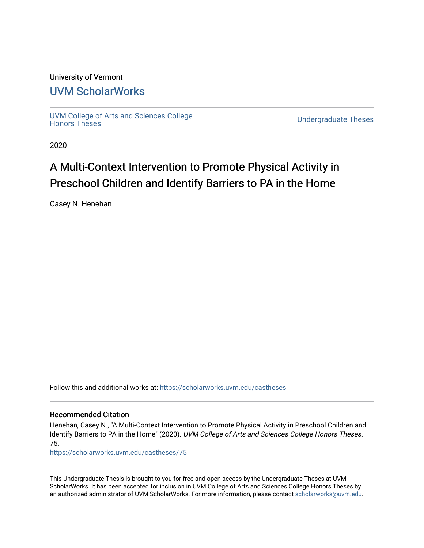# University of Vermont

# [UVM ScholarWorks](https://scholarworks.uvm.edu/)

[UVM College of Arts and Sciences College](https://scholarworks.uvm.edu/castheses)

**Undergraduate Theses** 

2020

## A Multi-Context Intervention to Promote Physical Activity in Preschool Children and Identify Barriers to PA in the Home

Casey N. Henehan

Follow this and additional works at: [https://scholarworks.uvm.edu/castheses](https://scholarworks.uvm.edu/castheses?utm_source=scholarworks.uvm.edu%2Fcastheses%2F75&utm_medium=PDF&utm_campaign=PDFCoverPages)

#### Recommended Citation

Henehan, Casey N., "A Multi-Context Intervention to Promote Physical Activity in Preschool Children and Identify Barriers to PA in the Home" (2020). UVM College of Arts and Sciences College Honors Theses. 75.

[https://scholarworks.uvm.edu/castheses/75](https://scholarworks.uvm.edu/castheses/75?utm_source=scholarworks.uvm.edu%2Fcastheses%2F75&utm_medium=PDF&utm_campaign=PDFCoverPages) 

This Undergraduate Thesis is brought to you for free and open access by the Undergraduate Theses at UVM ScholarWorks. It has been accepted for inclusion in UVM College of Arts and Sciences College Honors Theses by an authorized administrator of UVM ScholarWorks. For more information, please contact [scholarworks@uvm.edu.](mailto:scholarworks@uvm.edu)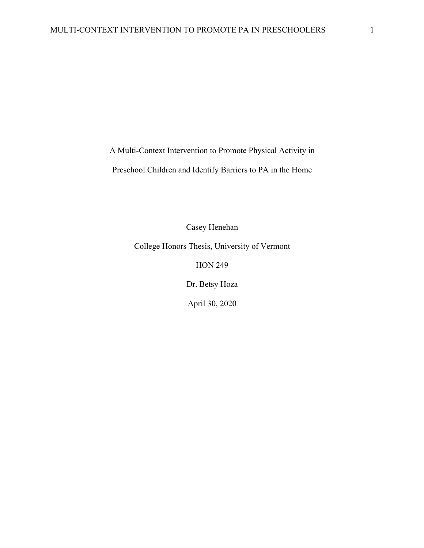A Multi-Context Intervention to Promote Physical Activity in

Preschool Children and Identify Barriers to PA in the Home

Casey Henehan

College Honors Thesis, University of Vermont

HON 249

Dr. Betsy Hoza

April 30, 2020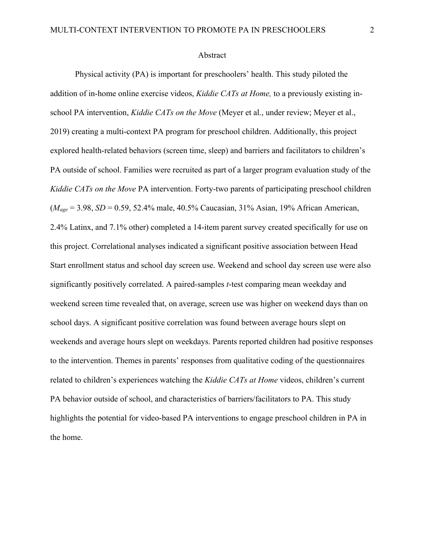#### Abstract

Physical activity (PA) is important for preschoolers' health. This study piloted the addition of in-home online exercise videos, *Kiddie CATs at Home,* to a previously existing inschool PA intervention, *Kiddie CATs on the Move* (Meyer et al., under review; Meyer et al., 2019) creating a multi-context PA program for preschool children. Additionally, this project explored health-related behaviors (screen time, sleep) and barriers and facilitators to children's PA outside of school. Families were recruited as part of a larger program evaluation study of the *Kiddie CATs on the Move* PA intervention. Forty-two parents of participating preschool children (*Mage* = 3.98, *SD* = 0.59, 52.4% male, 40.5% Caucasian, 31% Asian, 19% African American, 2.4% Latinx, and 7.1% other) completed a 14-item parent survey created specifically for use on this project. Correlational analyses indicated a significant positive association between Head Start enrollment status and school day screen use. Weekend and school day screen use were also significantly positively correlated. A paired-samples *t*-test comparing mean weekday and weekend screen time revealed that, on average, screen use was higher on weekend days than on school days. A significant positive correlation was found between average hours slept on weekends and average hours slept on weekdays. Parents reported children had positive responses to the intervention. Themes in parents' responses from qualitative coding of the questionnaires related to children's experiences watching the *Kiddie CATs at Home* videos, children's current PA behavior outside of school, and characteristics of barriers/facilitators to PA. This study highlights the potential for video-based PA interventions to engage preschool children in PA in the home.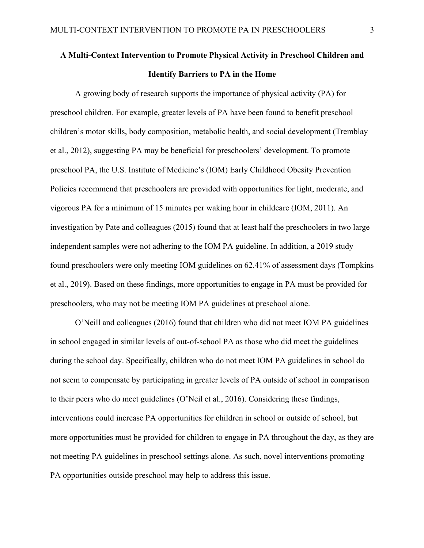## **A Multi-Context Intervention to Promote Physical Activity in Preschool Children and Identify Barriers to PA in the Home**

A growing body of research supports the importance of physical activity (PA) for preschool children. For example, greater levels of PA have been found to benefit preschool children's motor skills, body composition, metabolic health, and social development (Tremblay et al., 2012), suggesting PA may be beneficial for preschoolers' development. To promote preschool PA, the U.S. Institute of Medicine's (IOM) Early Childhood Obesity Prevention Policies recommend that preschoolers are provided with opportunities for light, moderate, and vigorous PA for a minimum of 15 minutes per waking hour in childcare (IOM, 2011). An investigation by Pate and colleagues (2015) found that at least half the preschoolers in two large independent samples were not adhering to the IOM PA guideline. In addition, a 2019 study found preschoolers were only meeting IOM guidelines on 62.41% of assessment days (Tompkins et al., 2019). Based on these findings, more opportunities to engage in PA must be provided for preschoolers, who may not be meeting IOM PA guidelines at preschool alone.

O'Neill and colleagues (2016) found that children who did not meet IOM PA guidelines in school engaged in similar levels of out-of-school PA as those who did meet the guidelines during the school day. Specifically, children who do not meet IOM PA guidelines in school do not seem to compensate by participating in greater levels of PA outside of school in comparison to their peers who do meet guidelines (O'Neil et al., 2016). Considering these findings, interventions could increase PA opportunities for children in school or outside of school, but more opportunities must be provided for children to engage in PA throughout the day, as they are not meeting PA guidelines in preschool settings alone. As such, novel interventions promoting PA opportunities outside preschool may help to address this issue.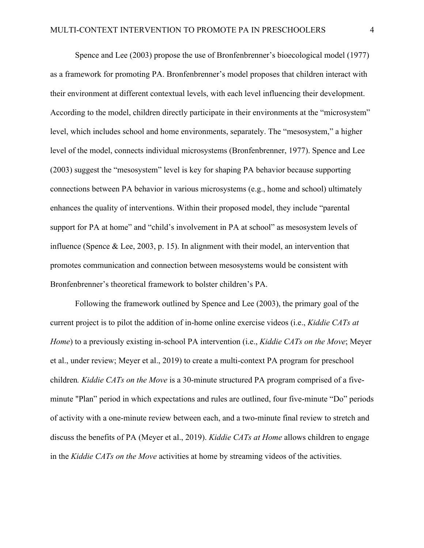Spence and Lee (2003) propose the use of Bronfenbrenner's bioecological model (1977) as a framework for promoting PA. Bronfenbrenner's model proposes that children interact with their environment at different contextual levels, with each level influencing their development. According to the model, children directly participate in their environments at the "microsystem" level, which includes school and home environments, separately. The "mesosystem," a higher level of the model, connects individual microsystems (Bronfenbrenner, 1977). Spence and Lee (2003) suggest the "mesosystem" level is key for shaping PA behavior because supporting connections between PA behavior in various microsystems (e.g., home and school) ultimately enhances the quality of interventions. Within their proposed model, they include "parental support for PA at home" and "child's involvement in PA at school" as mesosystem levels of influence (Spence & Lee, 2003, p. 15). In alignment with their model, an intervention that promotes communication and connection between mesosystems would be consistent with Bronfenbrenner's theoretical framework to bolster children's PA.

Following the framework outlined by Spence and Lee (2003), the primary goal of the current project is to pilot the addition of in-home online exercise videos (i.e., *Kiddie CATs at Home*) to a previously existing in-school PA intervention (i.e., *Kiddie CATs on the Move*; Meyer et al., under review; Meyer et al., 2019) to create a multi-context PA program for preschool children*. Kiddie CATs on the Move* is a 30-minute structured PA program comprised of a fiveminute "Plan" period in which expectations and rules are outlined, four five-minute "Do" periods of activity with a one-minute review between each, and a two-minute final review to stretch and discuss the benefits of PA (Meyer et al., 2019). *Kiddie CATs at Home* allows children to engage in the *Kiddie CATs on the Move* activities at home by streaming videos of the activities.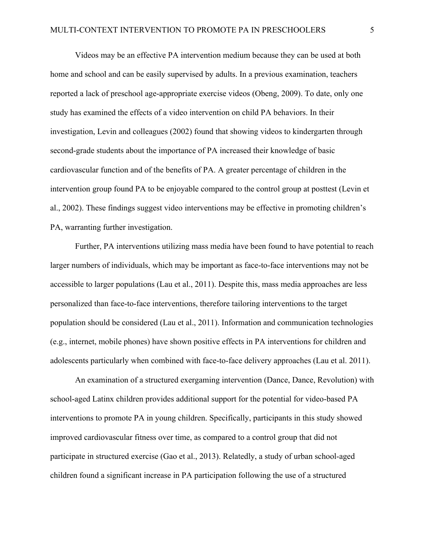Videos may be an effective PA intervention medium because they can be used at both home and school and can be easily supervised by adults. In a previous examination, teachers reported a lack of preschool age-appropriate exercise videos (Obeng, 2009). To date, only one study has examined the effects of a video intervention on child PA behaviors. In their investigation, Levin and colleagues (2002) found that showing videos to kindergarten through second-grade students about the importance of PA increased their knowledge of basic cardiovascular function and of the benefits of PA. A greater percentage of children in the intervention group found PA to be enjoyable compared to the control group at posttest (Levin et al., 2002). These findings suggest video interventions may be effective in promoting children's PA, warranting further investigation.

Further, PA interventions utilizing mass media have been found to have potential to reach larger numbers of individuals, which may be important as face-to-face interventions may not be accessible to larger populations (Lau et al., 2011). Despite this, mass media approaches are less personalized than face-to-face interventions, therefore tailoring interventions to the target population should be considered (Lau et al., 2011). Information and communication technologies (e.g., internet, mobile phones) have shown positive effects in PA interventions for children and adolescents particularly when combined with face-to-face delivery approaches (Lau et al. 2011).

An examination of a structured exergaming intervention (Dance, Dance, Revolution) with school-aged Latinx children provides additional support for the potential for video-based PA interventions to promote PA in young children. Specifically, participants in this study showed improved cardiovascular fitness over time, as compared to a control group that did not participate in structured exercise (Gao et al., 2013). Relatedly, a study of urban school-aged children found a significant increase in PA participation following the use of a structured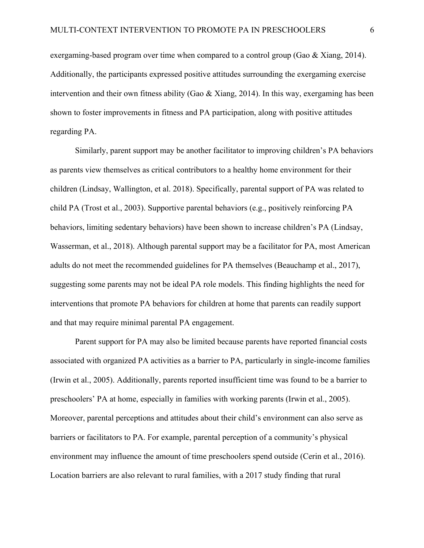exergaming-based program over time when compared to a control group (Gao & Xiang, 2014). Additionally, the participants expressed positive attitudes surrounding the exergaming exercise intervention and their own fitness ability (Gao & Xiang, 2014). In this way, exergaming has been shown to foster improvements in fitness and PA participation, along with positive attitudes regarding PA.

Similarly, parent support may be another facilitator to improving children's PA behaviors as parents view themselves as critical contributors to a healthy home environment for their children (Lindsay, Wallington, et al. 2018). Specifically, parental support of PA was related to child PA (Trost et al., 2003). Supportive parental behaviors (e.g., positively reinforcing PA behaviors, limiting sedentary behaviors) have been shown to increase children's PA (Lindsay, Wasserman, et al., 2018). Although parental support may be a facilitator for PA, most American adults do not meet the recommended guidelines for PA themselves (Beauchamp et al., 2017), suggesting some parents may not be ideal PA role models. This finding highlights the need for interventions that promote PA behaviors for children at home that parents can readily support and that may require minimal parental PA engagement.

Parent support for PA may also be limited because parents have reported financial costs associated with organized PA activities as a barrier to PA, particularly in single-income families (Irwin et al., 2005). Additionally, parents reported insufficient time was found to be a barrier to preschoolers' PA at home, especially in families with working parents (Irwin et al., 2005). Moreover, parental perceptions and attitudes about their child's environment can also serve as barriers or facilitators to PA. For example, parental perception of a community's physical environment may influence the amount of time preschoolers spend outside (Cerin et al., 2016). Location barriers are also relevant to rural families, with a 2017 study finding that rural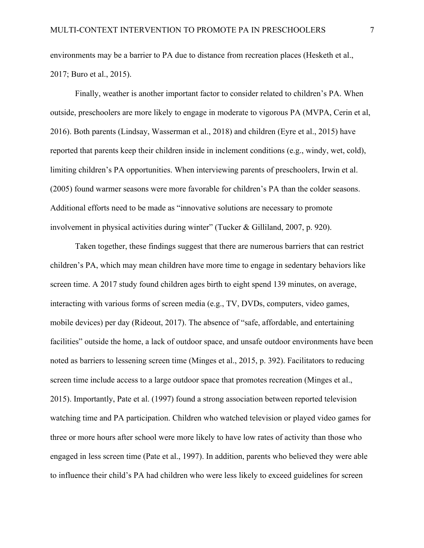environments may be a barrier to PA due to distance from recreation places (Hesketh et al., 2017; Buro et al., 2015).

Finally, weather is another important factor to consider related to children's PA. When outside, preschoolers are more likely to engage in moderate to vigorous PA (MVPA, Cerin et al, 2016). Both parents (Lindsay, Wasserman et al., 2018) and children (Eyre et al., 2015) have reported that parents keep their children inside in inclement conditions (e.g., windy, wet, cold), limiting children's PA opportunities. When interviewing parents of preschoolers, Irwin et al. (2005) found warmer seasons were more favorable for children's PA than the colder seasons. Additional efforts need to be made as "innovative solutions are necessary to promote involvement in physical activities during winter" (Tucker & Gilliland, 2007, p. 920).

Taken together, these findings suggest that there are numerous barriers that can restrict children's PA, which may mean children have more time to engage in sedentary behaviors like screen time. A 2017 study found children ages birth to eight spend 139 minutes, on average, interacting with various forms of screen media (e.g., TV, DVDs, computers, video games, mobile devices) per day (Rideout, 2017). The absence of "safe, affordable, and entertaining facilities" outside the home, a lack of outdoor space, and unsafe outdoor environments have been noted as barriers to lessening screen time (Minges et al., 2015, p. 392). Facilitators to reducing screen time include access to a large outdoor space that promotes recreation (Minges et al., 2015). Importantly, Pate et al. (1997) found a strong association between reported television watching time and PA participation. Children who watched television or played video games for three or more hours after school were more likely to have low rates of activity than those who engaged in less screen time (Pate et al., 1997). In addition, parents who believed they were able to influence their child's PA had children who were less likely to exceed guidelines for screen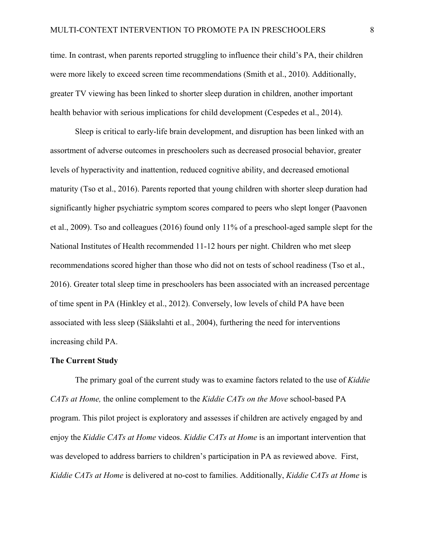time. In contrast, when parents reported struggling to influence their child's PA, their children were more likely to exceed screen time recommendations (Smith et al., 2010). Additionally, greater TV viewing has been linked to shorter sleep duration in children, another important health behavior with serious implications for child development (Cespedes et al., 2014).

Sleep is critical to early-life brain development, and disruption has been linked with an assortment of adverse outcomes in preschoolers such as decreased prosocial behavior, greater levels of hyperactivity and inattention, reduced cognitive ability, and decreased emotional maturity (Tso et al., 2016). Parents reported that young children with shorter sleep duration had significantly higher psychiatric symptom scores compared to peers who slept longer (Paavonen et al., 2009). Tso and colleagues (2016) found only 11% of a preschool-aged sample slept for the National Institutes of Health recommended 11-12 hours per night. Children who met sleep recommendations scored higher than those who did not on tests of school readiness (Tso et al., 2016). Greater total sleep time in preschoolers has been associated with an increased percentage of time spent in PA (Hinkley et al., 2012). Conversely, low levels of child PA have been associated with less sleep (Sääkslahti et al., 2004), furthering the need for interventions increasing child PA.

#### **The Current Study**

The primary goal of the current study was to examine factors related to the use of *Kiddie CATs at Home,* the online complement to the *Kiddie CATs on the Move* school-based PA program. This pilot project is exploratory and assesses if children are actively engaged by and enjoy the *Kiddie CATs at Home* videos. *Kiddie CATs at Home* is an important intervention that was developed to address barriers to children's participation in PA as reviewed above. First, *Kiddie CATs at Home* is delivered at no-cost to families. Additionally, *Kiddie CATs at Home* is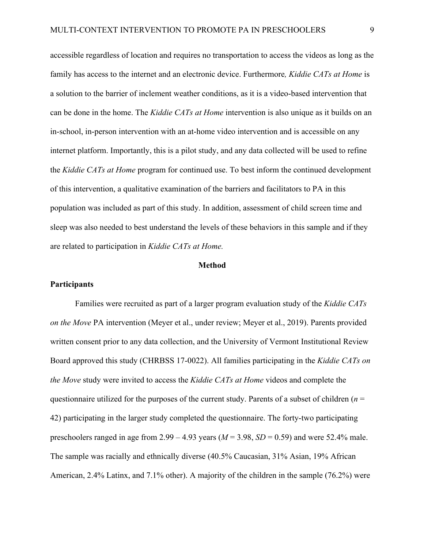accessible regardless of location and requires no transportation to access the videos as long as the family has access to the internet and an electronic device. Furthermore*, Kiddie CATs at Home* is a solution to the barrier of inclement weather conditions, as it is a video-based intervention that can be done in the home. The *Kiddie CATs at Home* intervention is also unique as it builds on an in-school, in-person intervention with an at-home video intervention and is accessible on any internet platform. Importantly, this is a pilot study, and any data collected will be used to refine the *Kiddie CATs at Home* program for continued use. To best inform the continued development of this intervention, a qualitative examination of the barriers and facilitators to PA in this population was included as part of this study. In addition, assessment of child screen time and sleep was also needed to best understand the levels of these behaviors in this sample and if they are related to participation in *Kiddie CATs at Home.*

#### **Method**

#### **Participants**

Families were recruited as part of a larger program evaluation study of the *Kiddie CATs on the Move* PA intervention (Meyer et al., under review; Meyer et al., 2019). Parents provided written consent prior to any data collection, and the University of Vermont Institutional Review Board approved this study (CHRBSS 17-0022). All families participating in the *Kiddie CATs on the Move* study were invited to access the *Kiddie CATs at Home* videos and complete the questionnaire utilized for the purposes of the current study. Parents of a subset of children (*n* = 42) participating in the larger study completed the questionnaire. The forty-two participating preschoolers ranged in age from  $2.99 - 4.93$  years ( $M = 3.98$ ,  $SD = 0.59$ ) and were 52.4% male. The sample was racially and ethnically diverse (40.5% Caucasian, 31% Asian, 19% African American, 2.4% Latinx, and 7.1% other). A majority of the children in the sample (76.2%) were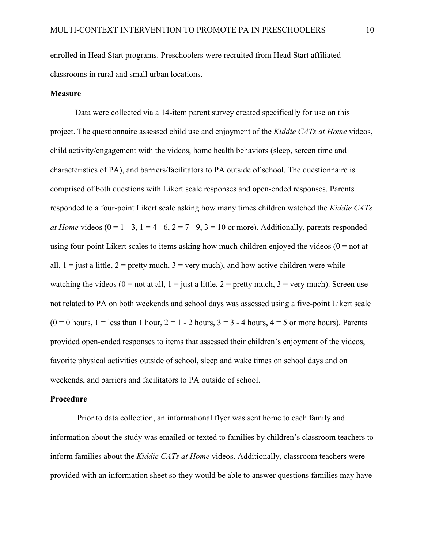enrolled in Head Start programs. Preschoolers were recruited from Head Start affiliated classrooms in rural and small urban locations.

#### **Measure**

Data were collected via a 14-item parent survey created specifically for use on this project. The questionnaire assessed child use and enjoyment of the *Kiddie CATs at Home* videos, child activity/engagement with the videos, home health behaviors (sleep, screen time and characteristics of PA), and barriers/facilitators to PA outside of school. The questionnaire is comprised of both questions with Likert scale responses and open-ended responses. Parents responded to a four-point Likert scale asking how many times children watched the *Kiddie CATs at Home videos* ( $0 = 1 - 3$ ,  $1 = 4 - 6$ ,  $2 = 7 - 9$ ,  $3 = 10$  or more). Additionally, parents responded using four-point Likert scales to items asking how much children enjoyed the videos  $(0 = not at$ all,  $1 =$  just a little,  $2 =$  pretty much,  $3 =$  very much), and how active children were while watching the videos (0 = not at all, 1 = just a little, 2 = pretty much, 3 = very much). Screen use not related to PA on both weekends and school days was assessed using a five-point Likert scale  $(0 = 0$  hours,  $1 =$  less than 1 hour,  $2 = 1 - 2$  hours,  $3 = 3 - 4$  hours,  $4 = 5$  or more hours). Parents provided open-ended responses to items that assessed their children's enjoyment of the videos, favorite physical activities outside of school, sleep and wake times on school days and on weekends, and barriers and facilitators to PA outside of school.

#### **Procedure**

Prior to data collection, an informational flyer was sent home to each family and information about the study was emailed or texted to families by children's classroom teachers to inform families about the *Kiddie CATs at Home* videos. Additionally, classroom teachers were provided with an information sheet so they would be able to answer questions families may have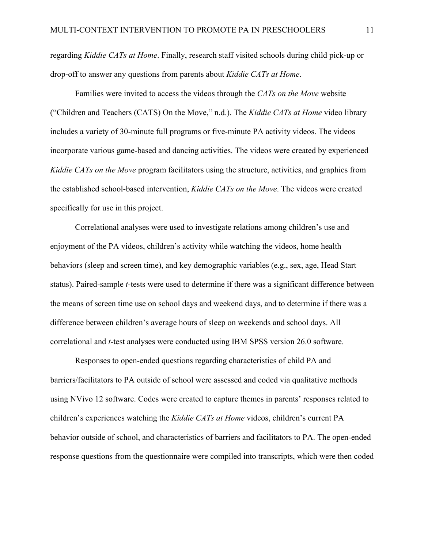regarding *Kiddie CATs at Home*. Finally, research staff visited schools during child pick-up or drop-off to answer any questions from parents about *Kiddie CATs at Home*.

Families were invited to access the videos through the *CATs on the Move* website ("Children and Teachers (CATS) On the Move," n.d.). The *Kiddie CATs at Home* video library includes a variety of 30-minute full programs or five-minute PA activity videos. The videos incorporate various game-based and dancing activities. The videos were created by experienced *Kiddie CATs on the Move* program facilitators using the structure, activities, and graphics from the established school-based intervention, *Kiddie CATs on the Move*. The videos were created specifically for use in this project.

Correlational analyses were used to investigate relations among children's use and enjoyment of the PA videos, children's activity while watching the videos, home health behaviors (sleep and screen time), and key demographic variables (e.g., sex, age, Head Start status). Paired-sample *t*-tests were used to determine if there was a significant difference between the means of screen time use on school days and weekend days, and to determine if there was a difference between children's average hours of sleep on weekends and school days. All correlational and *t*-test analyses were conducted using IBM SPSS version 26.0 software.

Responses to open-ended questions regarding characteristics of child PA and barriers/facilitators to PA outside of school were assessed and coded via qualitative methods using NVivo 12 software. Codes were created to capture themes in parents' responses related to children's experiences watching the *Kiddie CATs at Home* videos, children's current PA behavior outside of school, and characteristics of barriers and facilitators to PA. The open-ended response questions from the questionnaire were compiled into transcripts, which were then coded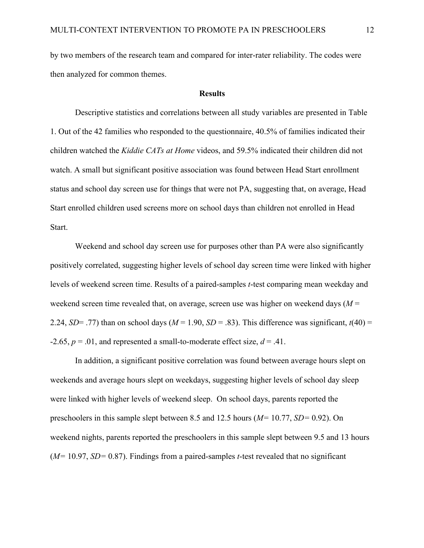by two members of the research team and compared for inter-rater reliability. The codes were then analyzed for common themes.

#### **Results**

Descriptive statistics and correlations between all study variables are presented in Table 1. Out of the 42 families who responded to the questionnaire, 40.5% of families indicated their children watched the *Kiddie CATs at Home* videos, and 59.5% indicated their children did not watch. A small but significant positive association was found between Head Start enrollment status and school day screen use for things that were not PA, suggesting that, on average, Head Start enrolled children used screens more on school days than children not enrolled in Head Start.

Weekend and school day screen use for purposes other than PA were also significantly positively correlated, suggesting higher levels of school day screen time were linked with higher levels of weekend screen time. Results of a paired-samples *t*-test comparing mean weekday and weekend screen time revealed that, on average, screen use was higher on weekend days (*M* = 2.24, *SD*= .77) than on school days ( $M = 1.90$ ,  $SD = .83$ ). This difference was significant,  $t(40) =$  $-2.65$ ,  $p = .01$ , and represented a small-to-moderate effect size,  $d = .41$ .

In addition, a significant positive correlation was found between average hours slept on weekends and average hours slept on weekdays, suggesting higher levels of school day sleep were linked with higher levels of weekend sleep. On school days, parents reported the preschoolers in this sample slept between 8.5 and 12.5 hours (*M=* 10.77, *SD=* 0.92). On weekend nights, parents reported the preschoolers in this sample slept between 9.5 and 13 hours (*M=* 10.97, *SD=* 0.87). Findings from a paired-samples *t*-test revealed that no significant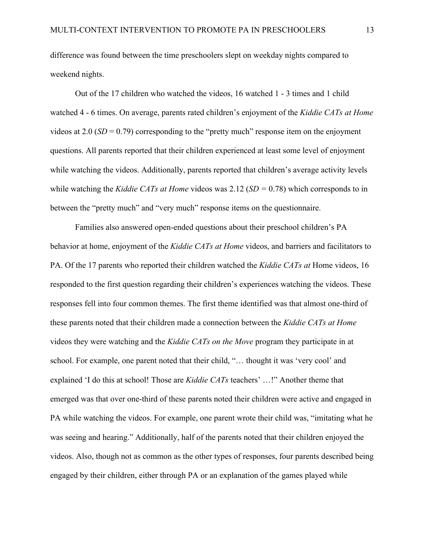difference was found between the time preschoolers slept on weekday nights compared to weekend nights.

Out of the 17 children who watched the videos, 16 watched 1 - 3 times and 1 child watched 4 - 6 times. On average, parents rated children's enjoyment of the *Kiddie CATs at Home*  videos at 2.0 (*SD* = 0.79) corresponding to the "pretty much" response item on the enjoyment questions. All parents reported that their children experienced at least some level of enjoyment while watching the videos. Additionally, parents reported that children's average activity levels while watching the *Kiddie CATs at Home* videos was 2.12 (*SD =* 0.78) which corresponds to in between the "pretty much" and "very much" response items on the questionnaire.

Families also answered open-ended questions about their preschool children's PA behavior at home, enjoyment of the *Kiddie CATs at Home* videos, and barriers and facilitators to PA. Of the 17 parents who reported their children watched the *Kiddie CATs at* Home videos, 16 responded to the first question regarding their children's experiences watching the videos. These responses fell into four common themes. The first theme identified was that almost one-third of these parents noted that their children made a connection between the *Kiddie CATs at Home* videos they were watching and the *Kiddie CATs on the Move* program they participate in at school. For example, one parent noted that their child, "… thought it was 'very cool' and explained 'I do this at school! Those are *Kiddie CATs* teachers' …!" Another theme that emerged was that over one-third of these parents noted their children were active and engaged in PA while watching the videos. For example, one parent wrote their child was, "imitating what he was seeing and hearing." Additionally, half of the parents noted that their children enjoyed the videos. Also, though not as common as the other types of responses, four parents described being engaged by their children, either through PA or an explanation of the games played while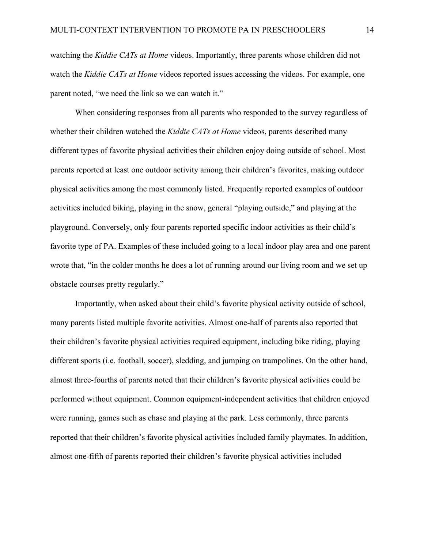watching the *Kiddie CATs at Home* videos. Importantly, three parents whose children did not watch the *Kiddie CATs at Home* videos reported issues accessing the videos. For example, one parent noted, "we need the link so we can watch it."

When considering responses from all parents who responded to the survey regardless of whether their children watched the *Kiddie CATs at Home* videos, parents described many different types of favorite physical activities their children enjoy doing outside of school. Most parents reported at least one outdoor activity among their children's favorites, making outdoor physical activities among the most commonly listed. Frequently reported examples of outdoor activities included biking, playing in the snow, general "playing outside," and playing at the playground. Conversely, only four parents reported specific indoor activities as their child's favorite type of PA. Examples of these included going to a local indoor play area and one parent wrote that, "in the colder months he does a lot of running around our living room and we set up obstacle courses pretty regularly."

Importantly, when asked about their child's favorite physical activity outside of school, many parents listed multiple favorite activities. Almost one-half of parents also reported that their children's favorite physical activities required equipment, including bike riding, playing different sports (i.e. football, soccer), sledding, and jumping on trampolines. On the other hand, almost three-fourths of parents noted that their children's favorite physical activities could be performed without equipment. Common equipment-independent activities that children enjoyed were running, games such as chase and playing at the park. Less commonly, three parents reported that their children's favorite physical activities included family playmates. In addition, almost one-fifth of parents reported their children's favorite physical activities included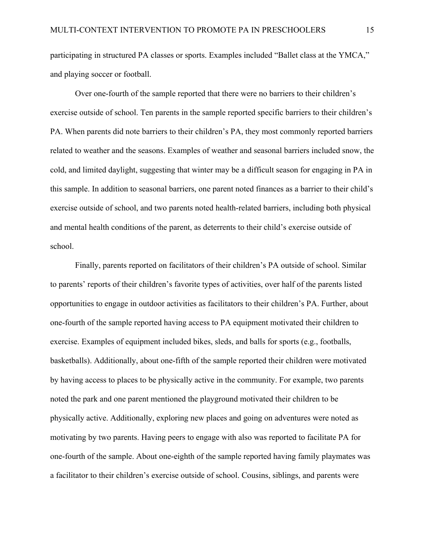participating in structured PA classes or sports. Examples included "Ballet class at the YMCA," and playing soccer or football.

Over one-fourth of the sample reported that there were no barriers to their children's exercise outside of school. Ten parents in the sample reported specific barriers to their children's PA. When parents did note barriers to their children's PA, they most commonly reported barriers related to weather and the seasons. Examples of weather and seasonal barriers included snow, the cold, and limited daylight, suggesting that winter may be a difficult season for engaging in PA in this sample. In addition to seasonal barriers, one parent noted finances as a barrier to their child's exercise outside of school, and two parents noted health-related barriers, including both physical and mental health conditions of the parent, as deterrents to their child's exercise outside of school.

Finally, parents reported on facilitators of their children's PA outside of school. Similar to parents' reports of their children's favorite types of activities, over half of the parents listed opportunities to engage in outdoor activities as facilitators to their children's PA. Further, about one-fourth of the sample reported having access to PA equipment motivated their children to exercise. Examples of equipment included bikes, sleds, and balls for sports (e.g., footballs, basketballs). Additionally, about one-fifth of the sample reported their children were motivated by having access to places to be physically active in the community. For example, two parents noted the park and one parent mentioned the playground motivated their children to be physically active. Additionally, exploring new places and going on adventures were noted as motivating by two parents. Having peers to engage with also was reported to facilitate PA for one-fourth of the sample. About one-eighth of the sample reported having family playmates was a facilitator to their children's exercise outside of school. Cousins, siblings, and parents were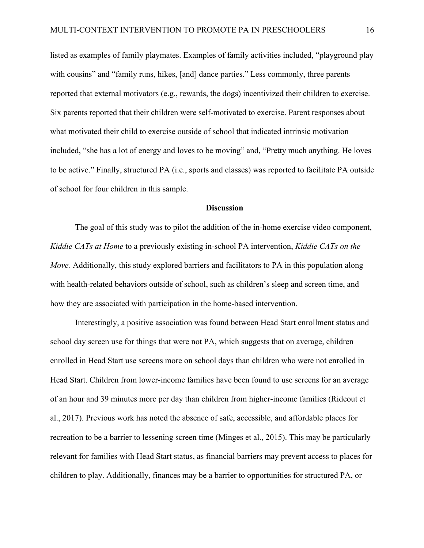listed as examples of family playmates. Examples of family activities included, "playground play with cousins" and "family runs, hikes, [and] dance parties." Less commonly, three parents reported that external motivators (e.g., rewards, the dogs) incentivized their children to exercise. Six parents reported that their children were self-motivated to exercise. Parent responses about what motivated their child to exercise outside of school that indicated intrinsic motivation included, "she has a lot of energy and loves to be moving" and, "Pretty much anything. He loves to be active." Finally, structured PA (i.e., sports and classes) was reported to facilitate PA outside of school for four children in this sample.

#### **Discussion**

The goal of this study was to pilot the addition of the in-home exercise video component, *Kiddie CATs at Home* to a previously existing in-school PA intervention, *Kiddie CATs on the Move.* Additionally, this study explored barriers and facilitators to PA in this population along with health-related behaviors outside of school, such as children's sleep and screen time, and how they are associated with participation in the home-based intervention.

Interestingly, a positive association was found between Head Start enrollment status and school day screen use for things that were not PA, which suggests that on average, children enrolled in Head Start use screens more on school days than children who were not enrolled in Head Start. Children from lower-income families have been found to use screens for an average of an hour and 39 minutes more per day than children from higher-income families (Rideout et al., 2017). Previous work has noted the absence of safe, accessible, and affordable places for recreation to be a barrier to lessening screen time (Minges et al., 2015). This may be particularly relevant for families with Head Start status, as financial barriers may prevent access to places for children to play. Additionally, finances may be a barrier to opportunities for structured PA, or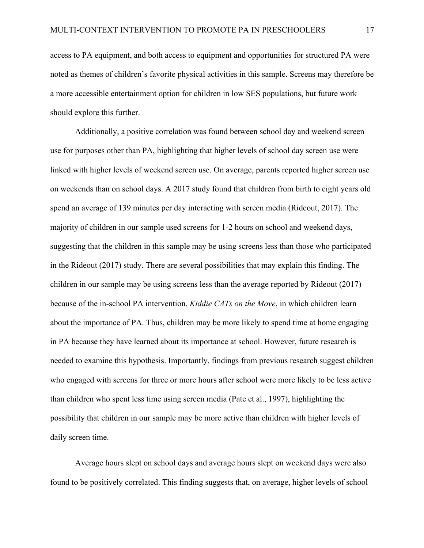access to PA equipment, and both access to equipment and opportunities for structured PA were noted as themes of children's favorite physical activities in this sample. Screens may therefore be a more accessible entertainment option for children in low SES populations, but future work should explore this further.

Additionally, a positive correlation was found between school day and weekend screen use for purposes other than PA, highlighting that higher levels of school day screen use were linked with higher levels of weekend screen use. On average, parents reported higher screen use on weekends than on school days. A 2017 study found that children from birth to eight years old spend an average of 139 minutes per day interacting with screen media (Rideout, 2017). The majority of children in our sample used screens for 1-2 hours on school and weekend days, suggesting that the children in this sample may be using screens less than those who participated in the Rideout (2017) study. There are several possibilities that may explain this finding. The children in our sample may be using screens less than the average reported by Rideout (2017) because of the in-school PA intervention, *Kiddie CATs on the Move*, in which children learn about the importance of PA. Thus, children may be more likely to spend time at home engaging in PA because they have learned about its importance at school. However, future research is needed to examine this hypothesis. Importantly, findings from previous research suggest children who engaged with screens for three or more hours after school were more likely to be less active than children who spent less time using screen media (Pate et al., 1997), highlighting the possibility that children in our sample may be more active than children with higher levels of daily screen time.

Average hours slept on school days and average hours slept on weekend days were also found to be positively correlated. This finding suggests that, on average, higher levels of school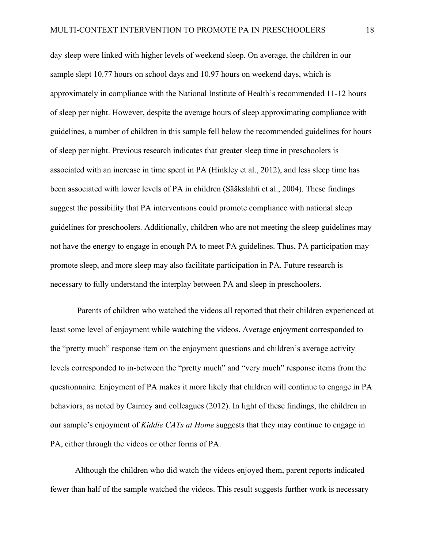day sleep were linked with higher levels of weekend sleep. On average, the children in our sample slept 10.77 hours on school days and 10.97 hours on weekend days, which is approximately in compliance with the National Institute of Health's recommended 11-12 hours of sleep per night. However, despite the average hours of sleep approximating compliance with guidelines, a number of children in this sample fell below the recommended guidelines for hours of sleep per night. Previous research indicates that greater sleep time in preschoolers is associated with an increase in time spent in PA (Hinkley et al., 2012), and less sleep time has been associated with lower levels of PA in children (Sääkslahti et al., 2004). These findings suggest the possibility that PA interventions could promote compliance with national sleep guidelines for preschoolers. Additionally, children who are not meeting the sleep guidelines may not have the energy to engage in enough PA to meet PA guidelines. Thus, PA participation may promote sleep, and more sleep may also facilitate participation in PA. Future research is necessary to fully understand the interplay between PA and sleep in preschoolers.

Parents of children who watched the videos all reported that their children experienced at least some level of enjoyment while watching the videos. Average enjoyment corresponded to the "pretty much" response item on the enjoyment questions and children's average activity levels corresponded to in-between the "pretty much" and "very much" response items from the questionnaire. Enjoyment of PA makes it more likely that children will continue to engage in PA behaviors, as noted by Cairney and colleagues (2012). In light of these findings, the children in our sample's enjoyment of *Kiddie CATs at Home* suggests that they may continue to engage in PA, either through the videos or other forms of PA.

Although the children who did watch the videos enjoyed them, parent reports indicated fewer than half of the sample watched the videos. This result suggests further work is necessary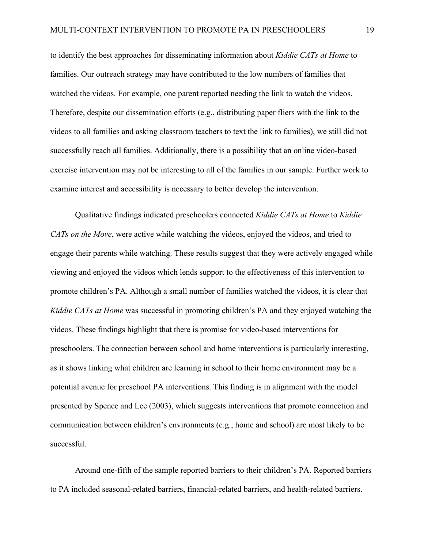to identify the best approaches for disseminating information about *Kiddie CATs at Home* to families. Our outreach strategy may have contributed to the low numbers of families that watched the videos. For example, one parent reported needing the link to watch the videos. Therefore, despite our dissemination efforts (e.g., distributing paper fliers with the link to the videos to all families and asking classroom teachers to text the link to families), we still did not successfully reach all families. Additionally, there is a possibility that an online video-based exercise intervention may not be interesting to all of the families in our sample. Further work to examine interest and accessibility is necessary to better develop the intervention.

Qualitative findings indicated preschoolers connected *Kiddie CATs at Home* to *Kiddie CATs on the Move*, were active while watching the videos, enjoyed the videos, and tried to engage their parents while watching. These results suggest that they were actively engaged while viewing and enjoyed the videos which lends support to the effectiveness of this intervention to promote children's PA. Although a small number of families watched the videos, it is clear that *Kiddie CATs at Home* was successful in promoting children's PA and they enjoyed watching the videos. These findings highlight that there is promise for video-based interventions for preschoolers. The connection between school and home interventions is particularly interesting, as it shows linking what children are learning in school to their home environment may be a potential avenue for preschool PA interventions. This finding is in alignment with the model presented by Spence and Lee (2003), which suggests interventions that promote connection and communication between children's environments (e.g., home and school) are most likely to be successful.

Around one-fifth of the sample reported barriers to their children's PA. Reported barriers to PA included seasonal-related barriers, financial-related barriers, and health-related barriers.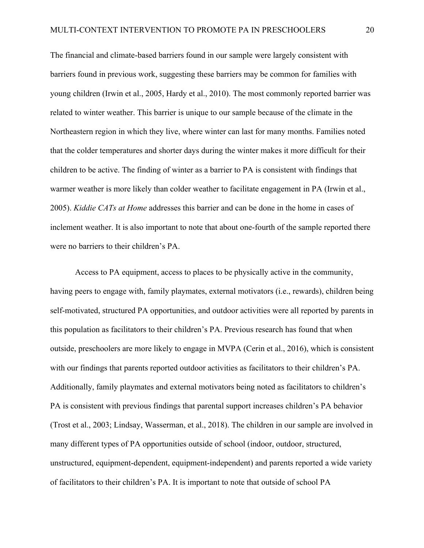The financial and climate-based barriers found in our sample were largely consistent with barriers found in previous work, suggesting these barriers may be common for families with young children (Irwin et al., 2005, Hardy et al., 2010). The most commonly reported barrier was related to winter weather. This barrier is unique to our sample because of the climate in the Northeastern region in which they live, where winter can last for many months. Families noted that the colder temperatures and shorter days during the winter makes it more difficult for their children to be active. The finding of winter as a barrier to PA is consistent with findings that warmer weather is more likely than colder weather to facilitate engagement in PA (Irwin et al., 2005). *Kiddie CATs at Home* addresses this barrier and can be done in the home in cases of inclement weather. It is also important to note that about one-fourth of the sample reported there were no barriers to their children's PA.

Access to PA equipment, access to places to be physically active in the community, having peers to engage with, family playmates, external motivators (i.e., rewards), children being self-motivated, structured PA opportunities, and outdoor activities were all reported by parents in this population as facilitators to their children's PA. Previous research has found that when outside, preschoolers are more likely to engage in MVPA (Cerin et al., 2016), which is consistent with our findings that parents reported outdoor activities as facilitators to their children's PA. Additionally, family playmates and external motivators being noted as facilitators to children's PA is consistent with previous findings that parental support increases children's PA behavior (Trost et al., 2003; Lindsay, Wasserman, et al., 2018). The children in our sample are involved in many different types of PA opportunities outside of school (indoor, outdoor, structured, unstructured, equipment-dependent, equipment-independent) and parents reported a wide variety of facilitators to their children's PA. It is important to note that outside of school PA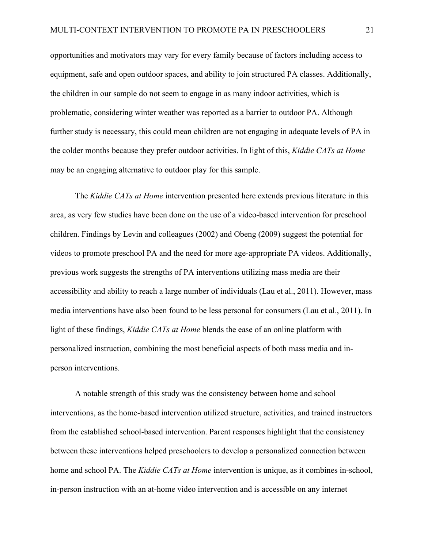opportunities and motivators may vary for every family because of factors including access to equipment, safe and open outdoor spaces, and ability to join structured PA classes. Additionally, the children in our sample do not seem to engage in as many indoor activities, which is problematic, considering winter weather was reported as a barrier to outdoor PA. Although further study is necessary, this could mean children are not engaging in adequate levels of PA in the colder months because they prefer outdoor activities. In light of this, *Kiddie CATs at Home* may be an engaging alternative to outdoor play for this sample.

The *Kiddie CATs at Home* intervention presented here extends previous literature in this area, as very few studies have been done on the use of a video-based intervention for preschool children. Findings by Levin and colleagues (2002) and Obeng (2009) suggest the potential for videos to promote preschool PA and the need for more age-appropriate PA videos. Additionally, previous work suggests the strengths of PA interventions utilizing mass media are their accessibility and ability to reach a large number of individuals (Lau et al., 2011). However, mass media interventions have also been found to be less personal for consumers (Lau et al., 2011). In light of these findings, *Kiddie CATs at Home* blends the ease of an online platform with personalized instruction, combining the most beneficial aspects of both mass media and inperson interventions.

A notable strength of this study was the consistency between home and school interventions, as the home-based intervention utilized structure, activities, and trained instructors from the established school-based intervention. Parent responses highlight that the consistency between these interventions helped preschoolers to develop a personalized connection between home and school PA. The *Kiddie CATs at Home* intervention is unique, as it combines in-school, in-person instruction with an at-home video intervention and is accessible on any internet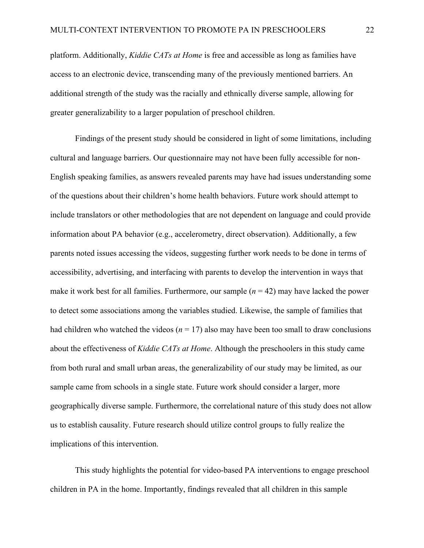platform. Additionally, *Kiddie CATs at Home* is free and accessible as long as families have access to an electronic device, transcending many of the previously mentioned barriers. An additional strength of the study was the racially and ethnically diverse sample, allowing for greater generalizability to a larger population of preschool children.

Findings of the present study should be considered in light of some limitations, including cultural and language barriers. Our questionnaire may not have been fully accessible for non-English speaking families, as answers revealed parents may have had issues understanding some of the questions about their children's home health behaviors. Future work should attempt to include translators or other methodologies that are not dependent on language and could provide information about PA behavior (e.g., accelerometry, direct observation). Additionally, a few parents noted issues accessing the videos, suggesting further work needs to be done in terms of accessibility, advertising, and interfacing with parents to develop the intervention in ways that make it work best for all families. Furthermore, our sample (*n* = 42) may have lacked the power to detect some associations among the variables studied. Likewise, the sample of families that had children who watched the videos ( $n = 17$ ) also may have been too small to draw conclusions about the effectiveness of *Kiddie CATs at Home*. Although the preschoolers in this study came from both rural and small urban areas, the generalizability of our study may be limited, as our sample came from schools in a single state. Future work should consider a larger, more geographically diverse sample. Furthermore, the correlational nature of this study does not allow us to establish causality. Future research should utilize control groups to fully realize the implications of this intervention.

This study highlights the potential for video-based PA interventions to engage preschool children in PA in the home. Importantly, findings revealed that all children in this sample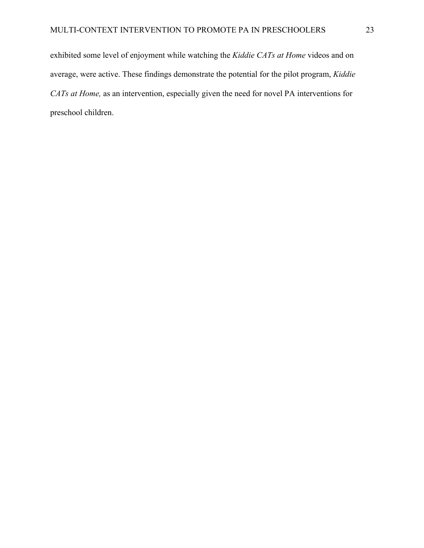exhibited some level of enjoyment while watching the *Kiddie CATs at Home* videos and on average, were active. These findings demonstrate the potential for the pilot program, *Kiddie CATs at Home,* as an intervention, especially given the need for novel PA interventions for preschool children.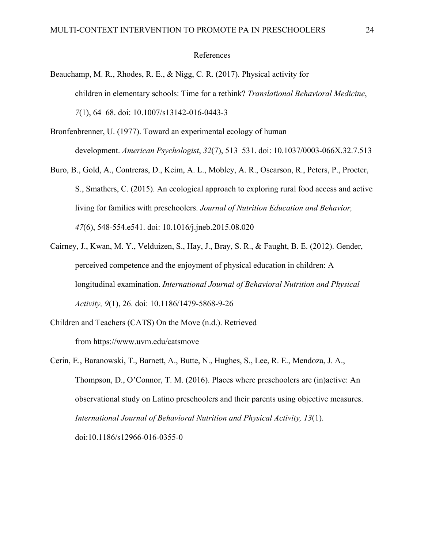#### References

- Beauchamp, M. R., Rhodes, R. E., & Nigg, C. R. (2017). Physical activity for children in elementary schools: Time for a rethink? *Translational Behavioral Medicine*, *7*(1), 64–68. doi: 10.1007/s13142-016-0443-3
- Bronfenbrenner, U. (1977). Toward an experimental ecology of human development. *American Psychologist*, *32*(7), 513–531. doi: 10.1037/0003-066X.32.7.513
- Buro, B., Gold, A., Contreras, D., Keim, A. L., Mobley, A. R., Oscarson, R., Peters, P., Procter, S., Smathers, C. (2015). An ecological approach to exploring rural food access and active living for families with preschoolers. *Journal of Nutrition Education and Behavior, 47*(6), 548-554.e541. doi: 10.1016/j.jneb.2015.08.020
- Cairney, J., Kwan, M. Y., Velduizen, S., Hay, J., Bray, S. R., & Faught, B. E. (2012). Gender, perceived competence and the enjoyment of physical education in children: A longitudinal examination. *International Journal of Behavioral Nutrition and Physical Activity, 9*(1), 26. doi: 10.1186/1479-5868-9-26
- Children and Teachers (CATS) On the Move (n.d.). Retrieved from https://www.uvm.edu/catsmove
- Cerin, E., Baranowski, T., Barnett, A., Butte, N., Hughes, S., Lee, R. E., Mendoza, J. A., Thompson, D., O'Connor, T. M. (2016). Places where preschoolers are (in)active: An observational study on Latino preschoolers and their parents using objective measures. *International Journal of Behavioral Nutrition and Physical Activity, 13*(1). doi:10.1186/s12966-016-0355-0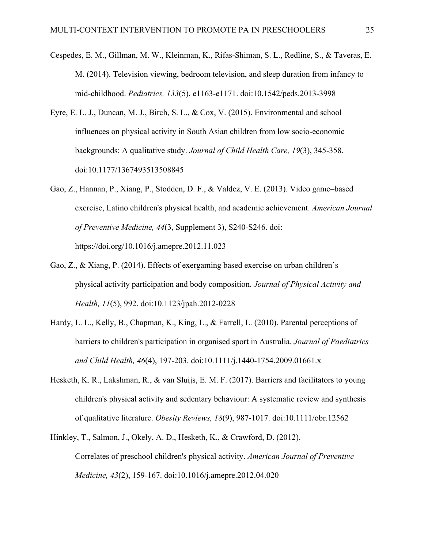- Cespedes, E. M., Gillman, M. W., Kleinman, K., Rifas-Shiman, S. L., Redline, S., & Taveras, E. M. (2014). Television viewing, bedroom television, and sleep duration from infancy to mid-childhood. *Pediatrics, 133*(5), e1163-e1171. doi:10.1542/peds.2013-3998
- Eyre, E. L. J., Duncan, M. J., Birch, S. L., & Cox, V. (2015). Environmental and school influences on physical activity in South Asian children from low socio-economic backgrounds: A qualitative study. *Journal of Child Health Care, 19*(3), 345-358. doi:10.1177/1367493513508845
- Gao, Z., Hannan, P., Xiang, P., Stodden, D. F., & Valdez, V. E. (2013). Video game–based exercise, Latino children's physical health, and academic achievement. *American Journal of Preventive Medicine, 44*(3, Supplement 3), S240-S246. doi: https://doi.org/10.1016/j.amepre.2012.11.023
- Gao, Z., & Xiang, P. (2014). Effects of exergaming based exercise on urban children's physical activity participation and body composition. *Journal of Physical Activity and Health, 11*(5), 992. doi:10.1123/jpah.2012-0228
- Hardy, L. L., Kelly, B., Chapman, K., King, L., & Farrell, L. (2010). Parental perceptions of barriers to children's participation in organised sport in Australia. *Journal of Paediatrics and Child Health, 46*(4), 197-203. doi:10.1111/j.1440-1754.2009.01661.x
- Hesketh, K. R., Lakshman, R., & van Sluijs, E. M. F. (2017). Barriers and facilitators to young children's physical activity and sedentary behaviour: A systematic review and synthesis of qualitative literature. *Obesity Reviews, 18*(9), 987-1017. doi:10.1111/obr.12562
- Hinkley, T., Salmon, J., Okely, A. D., Hesketh, K., & Crawford, D. (2012). Correlates of preschool children's physical activity. *American Journal of Preventive Medicine, 43*(2), 159-167. doi:10.1016/j.amepre.2012.04.020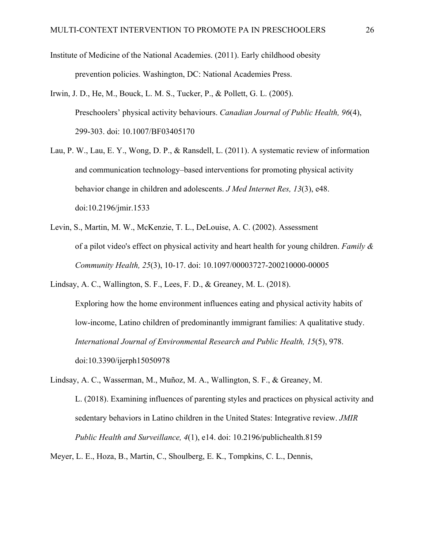Institute of Medicine of the National Academies. (2011). Early childhood obesity prevention policies. Washington, DC: National Academies Press.

- Irwin, J. D., He, M., Bouck, L. M. S., Tucker, P., & Pollett, G. L. (2005). Preschoolers' physical activity behaviours. *Canadian Journal of Public Health, 96*(4), 299-303. doi: 10.1007/BF03405170
- Lau, P. W., Lau, E. Y., Wong, D. P., & Ransdell, L. (2011). A systematic review of information and communication technology–based interventions for promoting physical activity behavior change in children and adolescents. *J Med Internet Res, 13*(3), e48. doi:10.2196/jmir.1533
- Levin, S., Martin, M. W., McKenzie, T. L., DeLouise, A. C. (2002). Assessment of a pilot video's effect on physical activity and heart health for young children. *Family & Community Health, 25*(3), 10-17. doi: 10.1097/00003727-200210000-00005

Lindsay, A. C., Wallington, S. F., Lees, F. D., & Greaney, M. L. (2018). Exploring how the home environment influences eating and physical activity habits of low-income, Latino children of predominantly immigrant families: A qualitative study. *International Journal of Environmental Research and Public Health, 15*(5), 978. doi:10.3390/ijerph15050978

Lindsay, A. C., Wasserman, M., Muñoz, M. A., Wallington, S. F., & Greaney, M. L. (2018). Examining influences of parenting styles and practices on physical activity and sedentary behaviors in Latino children in the United States: Integrative review. *JMIR Public Health and Surveillance, 4*(1), e14. doi: 10.2196/publichealth.8159

Meyer, L. E., Hoza, B., Martin, C., Shoulberg, E. K., Tompkins, C. L., Dennis,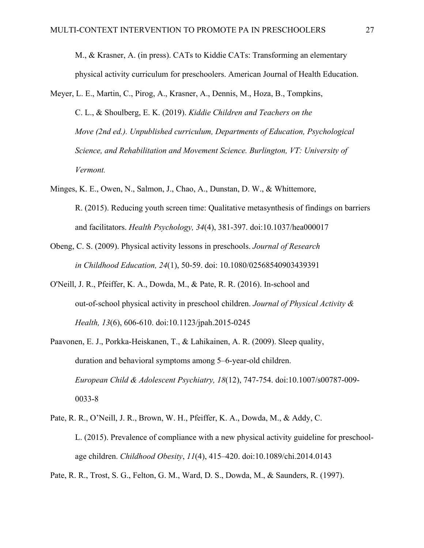M., & Krasner, A. (in press). CATs to Kiddie CATs: Transforming an elementary physical activity curriculum for preschoolers. American Journal of Health Education.

- Meyer, L. E., Martin, C., Pirog, A., Krasner, A., Dennis, M., Hoza, B., Tompkins, C. L., & Shoulberg, E. K. (2019). *Kiddie Children and Teachers on the Move (2nd ed.). Unpublished curriculum, Departments of Education, Psychological Science, and Rehabilitation and Movement Science. Burlington, VT: University of Vermont.*
- Minges, K. E., Owen, N., Salmon, J., Chao, A., Dunstan, D. W., & Whittemore, R. (2015). Reducing youth screen time: Qualitative metasynthesis of findings on barriers and facilitators. *Health Psychology, 34*(4), 381-397. doi:10.1037/hea000017
- Obeng, C. S. (2009). Physical activity lessons in preschools. *Journal of Research in Childhood Education, 24*(1), 50-59. doi: 10.1080/02568540903439391
- O'Neill, J. R., Pfeiffer, K. A., Dowda, M., & Pate, R. R. (2016). In-school and out-of-school physical activity in preschool children. *Journal of Physical Activity & Health, 13*(6), 606-610. doi:10.1123/jpah.2015-0245
- Paavonen, E. J., Porkka-Heiskanen, T., & Lahikainen, A. R. (2009). Sleep quality, duration and behavioral symptoms among 5–6-year-old children. *European Child & Adolescent Psychiatry, 18*(12), 747-754. doi:10.1007/s00787-009- 0033-8
- Pate, R. R., O'Neill, J. R., Brown, W. H., Pfeiffer, K. A., Dowda, M., & Addy, C. L. (2015). Prevalence of compliance with a new physical activity guideline for preschoolage children. *Childhood Obesity*, *11*(4), 415–420. doi:10.1089/chi.2014.0143

Pate, R. R., Trost, S. G., Felton, G. M., Ward, D. S., Dowda, M., & Saunders, R. (1997).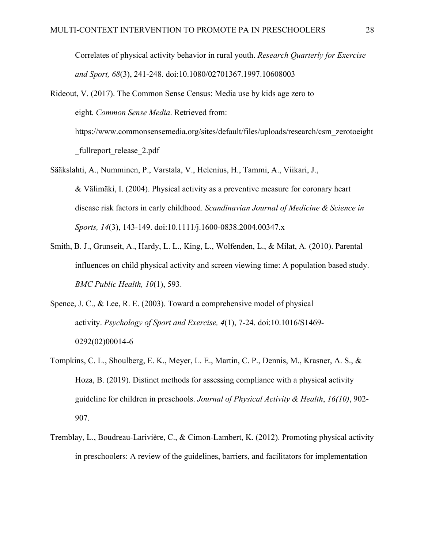Correlates of physical activity behavior in rural youth. *Research Quarterly for Exercise and Sport, 68*(3), 241-248. doi:10.1080/02701367.1997.10608003

- Rideout, V. (2017). The Common Sense Census: Media use by kids age zero to eight. *Common Sense Media*. Retrieved from: https://www.commonsensemedia.org/sites/default/files/uploads/research/csm\_zerotoeight fullreport release 2.pdf
- Sääkslahti, A., Numminen, P., Varstala, V., Helenius, H., Tammi, A., Viikari, J., & Välimäki, I. (2004). Physical activity as a preventive measure for coronary heart disease risk factors in early childhood. *Scandinavian Journal of Medicine & Science in Sports, 14*(3), 143-149. doi:10.1111/j.1600-0838.2004.00347.x
- Smith, B. J., Grunseit, A., Hardy, L. L., King, L., Wolfenden, L., & Milat, A. (2010). Parental influences on child physical activity and screen viewing time: A population based study. *BMC Public Health, 10*(1), 593.
- Spence, J. C., & Lee, R. E. (2003). Toward a comprehensive model of physical activity. *Psychology of Sport and Exercise, 4*(1), 7-24. doi:10.1016/S1469- 0292(02)00014-6
- Tompkins, C. L., Shoulberg, E. K., Meyer, L. E., Martin, C. P., Dennis, M., Krasner, A. S., & Hoza, B. (2019). Distinct methods for assessing compliance with a physical activity guideline for children in preschools. *Journal of Physical Activity & Health*, *16(10)*, 902- 907.
- Tremblay, L., Boudreau-Larivière, C., & Cimon-Lambert, K. (2012). Promoting physical activity in preschoolers: A review of the guidelines, barriers, and facilitators for implementation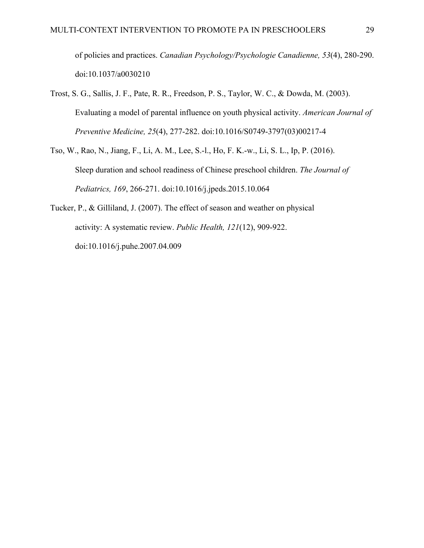of policies and practices. *Canadian Psychology/Psychologie Canadienne, 53*(4), 280-290. doi:10.1037/a0030210

- Trost, S. G., Sallis, J. F., Pate, R. R., Freedson, P. S., Taylor, W. C., & Dowda, M. (2003). Evaluating a model of parental influence on youth physical activity. *American Journal of Preventive Medicine, 25*(4), 277-282. doi:10.1016/S0749-3797(03)00217-4
- Tso, W., Rao, N., Jiang, F., Li, A. M., Lee, S.-l., Ho, F. K.-w., Li, S. L., Ip, P. (2016). Sleep duration and school readiness of Chinese preschool children. *The Journal of Pediatrics, 169*, 266-271. doi:10.1016/j.jpeds.2015.10.064
- Tucker, P., & Gilliland, J. (2007). The effect of season and weather on physical activity: A systematic review. *Public Health, 121*(12), 909-922. doi:10.1016/j.puhe.2007.04.009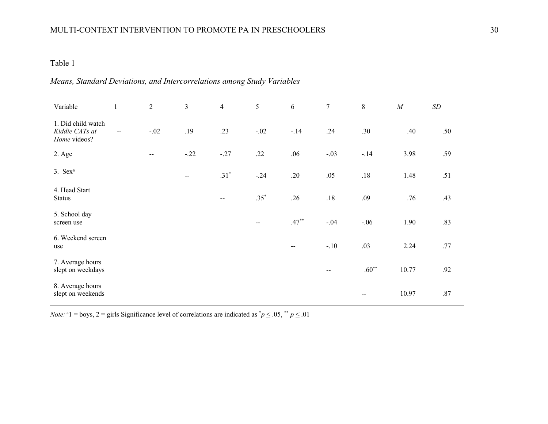#### Table 1

| Variable                                             | $\mathbf{1}$ | $\overline{2}$           | $\mathfrak{Z}$                                | $\overline{4}$ | 5                        | 6                        | $\boldsymbol{7}$         | $\, 8$  | $\cal M$ | $\,SD$  |
|------------------------------------------------------|--------------|--------------------------|-----------------------------------------------|----------------|--------------------------|--------------------------|--------------------------|---------|----------|---------|
| 1. Did child watch<br>Kiddie CATs at<br>Home videos? | $-$          | $-.02$                   | .19                                           | .23            | $-.02$                   | $-.14$                   | .24                      | .30     | .40      | .50     |
| 2. Age                                               |              | $\overline{\phantom{m}}$ | $-.22$                                        | $-.27$         | .22                      | .06                      | $-.03$                   | $-.14$  | 3.98     | .59     |
| $3.$ Sex <sup>a</sup>                                |              |                          | $\mathord{\hspace{1pt}\text{--}\hspace{1pt}}$ | $.31*$         | $-.24$                   | .20                      | .05                      | .18     | 1.48     | .51     |
| 4. Head Start<br><b>Status</b>                       |              |                          |                                               | $\mathbf{u}$   | $.35*$                   | .26                      | $.18\,$                  | .09     | .76      | .43     |
| 5. School day<br>screen use                          |              |                          |                                               |                | $\overline{\phantom{a}}$ | $.47***$                 | $-.04$                   | $-.06$  | 1.90     | .83     |
| 6. Weekend screen<br>use                             |              |                          |                                               |                |                          | $\overline{\phantom{a}}$ | $-.10$                   | .03     | 2.24     | .77     |
| 7. Average hours<br>slept on weekdays                |              |                          |                                               |                |                          |                          | $\overline{\phantom{a}}$ | $.60**$ | 10.77    | .92     |
| 8. Average hours<br>slept on weekends                |              |                          |                                               |                |                          |                          |                          | --      | 10.97    | $.87\,$ |

### *Means, Standard Deviations, and Intercorrelations among Study Variables*

*Note:* <sup>a</sup>1 = boys, 2 = girls Significance level of correlations are indicated as  $p \le 0.05$ ,  $p \le 0.01$